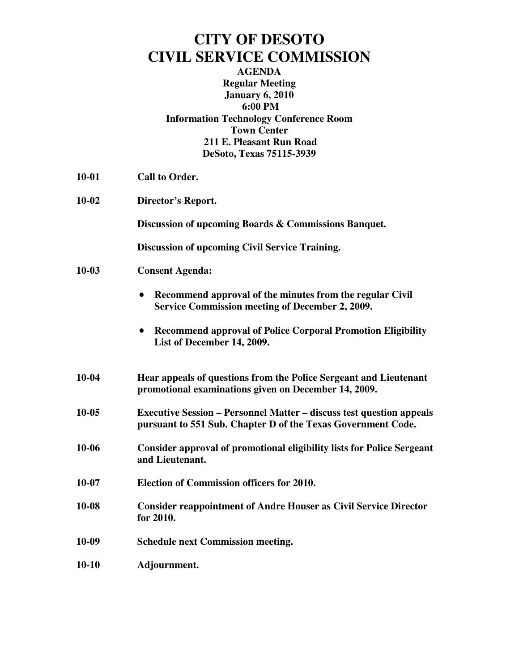## **CITY OF DESOTO CIVIL SERVICE COMMISSION**

**AGENDA Regular Meeting January 6, 2010 6:00 PM Information Technology Conference Room Town Center 211 E. Pleasant Run Road DeSoto, Texas 75115-3939** 

- **10-01 Call to Order.**
- **10-02 Director's Report.**

**Discussion of upcoming Boards & Commissions Banquet.** 

**Discussion of upcoming Civil Service Training.** 

- **10-03 Consent Agenda:** 
	- **Recommend approval of the minutes from the regular Civil Service Commission meeting of December 2, 2009.**
	- **Recommend approval of Police Corporal Promotion Eligibility List of December 14, 2009.**
- **10-04 Hear appeals of questions from the Police Sergeant and Lieutenant promotional examinations given on December 14, 2009.**
- **10-05 Executive Session Personnel Matter discuss test question appeals pursuant to 551 Sub. Chapter D of the Texas Government Code.**
- **10-06 Consider approval of promotional eligibility lists for Police Sergeant and Lieutenant.**
- **10-07 Election of Commission officers for 2010.**
- **10-08 Consider reappointment of Andre Houser as Civil Service Director for 2010.**
- **10-09 Schedule next Commission meeting.**
- **10-10 Adjournment.**